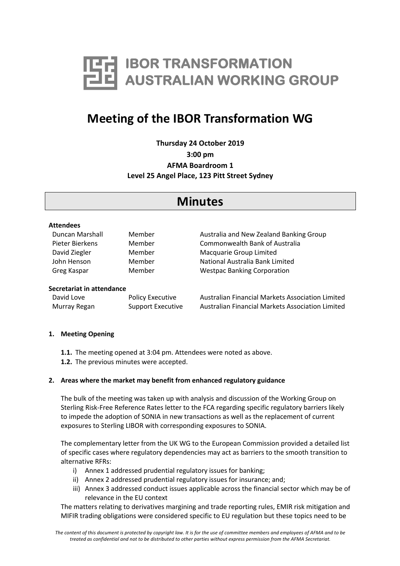

# **Meeting of the IBOR Transformation WG**

**Thursday 24 October 2019 3:00 pm AFMA Boardroom 1 Level 25 Angel Place, 123 Pitt Street Sydney**

## **Minutes**

#### **Attendees**

| Duncan Marshall | Member | Australia and New Zealand Banking Group |
|-----------------|--------|-----------------------------------------|
| Pieter Bierkens | Member | Commonwealth Bank of Australia          |
| David Ziegler   | Member | Macquarie Group Limited                 |
| John Henson     | Member | National Australia Bank Limited         |
| Greg Kaspar     | Member | <b>Westpac Banking Corporation</b>      |

#### **Secretariat in attendance**

| David Love   | <b>Policy Executive</b>  | Austra |
|--------------|--------------------------|--------|
| Murray Regan | <b>Support Executive</b> | Austra |

alian Financial Markets Association Limited alian Financial Markets Association Limited

## **1. Meeting Opening**

- **1.1.** The meeting opened at 3:04 pm. Attendees were noted as above.
- **1.2.** The previous minutes were accepted.

## **2. Areas where the market may benefit from enhanced regulatory guidance**

The bulk of the meeting was taken up with analysis and discussion of the Working Group on Sterling Risk-Free Reference Rates letter to the FCA regarding specific regulatory barriers likely to impede the adoption of SONIA in new transactions as well as the replacement of current exposures to Sterling LIBOR with corresponding exposures to SONIA.

The complementary letter from the UK WG to the European Commission provided a detailed list of specific cases where regulatory dependencies may act as barriers to the smooth transition to alternative RFRs:

- i) Annex 1 addressed prudential regulatory issues for banking;
- ii) Annex 2 addressed prudential regulatory issues for insurance; and;
- iii) Annex 3 addressed conduct issues applicable across the financial sector which may be of relevance in the EU context

The matters relating to derivatives margining and trade reporting rules, EMIR risk mitigation and MIFIR trading obligations were considered specific to EU regulation but these topics need to be